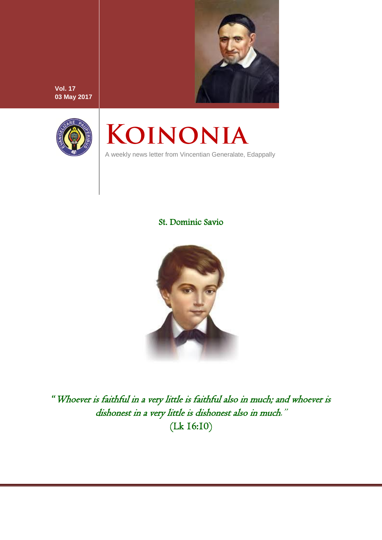

**Vol. 17 03 May 2017**



# KOINONIA

A weekly news letter from Vincentian Generalate, Edappally

# St. Dominic Savio



"Whoever is faithful in a very little is faithful also in much; and whoever is dishonest in a very little is dishonest also in much." (Lk 16:10)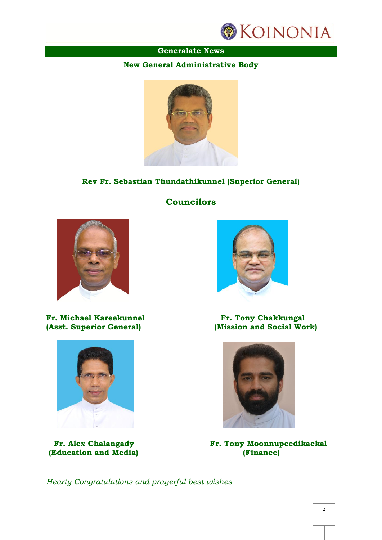

## **Generalate News**

#### **New General Administrative Body**



## **Rev Fr. Sebastian Thundathikunnel (Superior General)**

**Councilors**



**Fr. Michael Kareekunnel Fr. Tony Chakkungal (Asst. Superior General)** (Mission and Social Wo



**(Education and Media) (Finance)**



**(Mission and Social Work)** 



 **Fr. Alex Chalangady Fr. Tony Moonnupeedikackal**

*Hearty Congratulations and prayerful best wishes*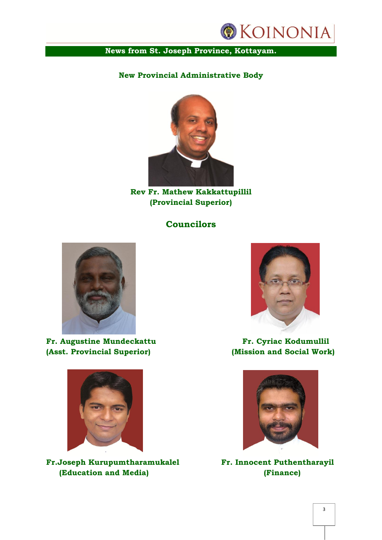

## **News from St. Joseph Province, Kottayam.**

## **New Provincial Administrative Body**



**Rev Fr. Mathew Kakkattupillil (Provincial Superior)**

## **Councilors**



**Fr. Augustine Mundeckattu Fr. Cyriac Kodumullil (Asst. Provincial Superior) (Mission and Social Work)**



**Fr.Joseph Kurupumtharamukalel Fr. Innocent Puthentharayil (Education and Media) (Finance)**



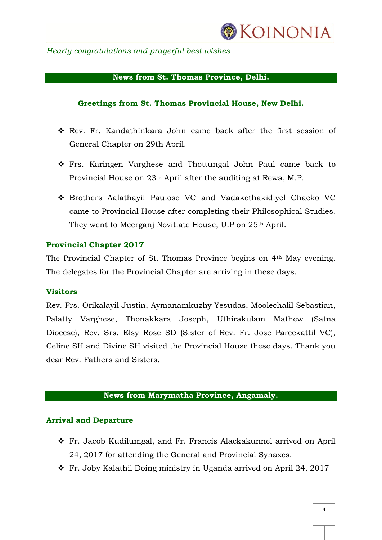

*Hearty congratulations and prayerful best wishes*

#### **News from St. Thomas Province, Delhi.**

#### **Greetings from St. Thomas Provincial House, New Delhi.**

- Rev. Fr. Kandathinkara John came back after the first session of General Chapter on 29th April.
- Frs. Karingen Varghese and Thottungal John Paul came back to Provincial House on 23rd April after the auditing at Rewa, M.P.
- Brothers Aalathayil Paulose VC and Vadakethakidiyel Chacko VC came to Provincial House after completing their Philosophical Studies. They went to Meerganj Novitiate House, U.P on 25<sup>th</sup> April.

#### **Provincial Chapter 2017**

The Provincial Chapter of St. Thomas Province begins on 4th May evening. The delegates for the Provincial Chapter are arriving in these days.

#### **Visitors**

Rev. Frs. Orikalayil Justin, Aymanamkuzhy Yesudas, Moolechalil Sebastian, Palatty Varghese, Thonakkara Joseph, Uthirakulam Mathew (Satna Diocese), Rev. Srs. Elsy Rose SD (Sister of Rev. Fr. Jose Pareckattil VC), Celine SH and Divine SH visited the Provincial House these days. Thank you dear Rev. Fathers and Sisters.

#### **News from Marymatha Province, Angamaly.**

#### **Arrival and Departure**

- Fr. Jacob Kudilumgal, and Fr. Francis Alackakunnel arrived on April 24, 2017 for attending the General and Provincial Synaxes.
- Fr. Joby Kalathil Doing ministry in Uganda arrived on April 24, 2017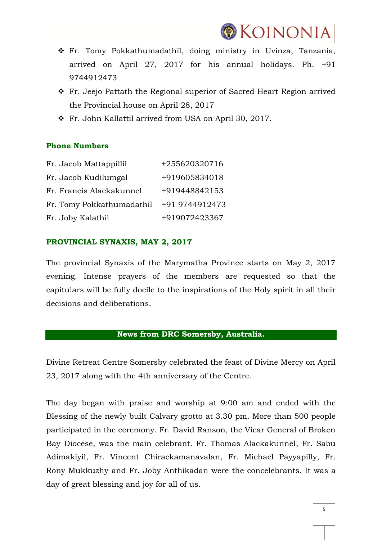

- Fr. Tomy Pokkathumadathil, doing ministry in Uvinza, Tanzania, arrived on April 27, 2017 for his annual holidays. Ph. +91 9744912473
- \* Fr. Jeejo Pattath the Regional superior of Sacred Heart Region arrived the Provincial house on April 28, 2017
- Fr. John Kallattil arrived from USA on April 30, 2017.

#### **Phone Numbers**

| Fr. Jacob Mattappillil    | +255620320716  |
|---------------------------|----------------|
| Fr. Jacob Kudilumgal      | +919605834018  |
| Fr. Francis Alackakunnel  | +919448842153  |
| Fr. Tomy Pokkathumadathil | +91 9744912473 |
| Fr. Joby Kalathil         | +919072423367  |

#### **PROVINCIAL SYNAXIS, MAY 2, 2017**

The provincial Synaxis of the Marymatha Province starts on May 2, 2017 evening. Intense prayers of the members are requested so that the capitulars will be fully docile to the inspirations of the Holy spirit in all their decisions and deliberations.

## **News from DRC Somersby, Australia.**

Divine Retreat Centre Somersby celebrated the feast of Divine Mercy on April 23, 2017 along with the 4th anniversary of the Centre.

The day began with praise and worship at 9:00 am and ended with the Blessing of the newly built Calvary grotto at 3.30 pm. More than 500 people participated in the ceremony. Fr. David Ranson, the Vicar General of Broken Bay Diocese, was the main celebrant. Fr. Thomas Alackakunnel, Fr. Sabu Adimakiyil, Fr. Vincent Chirackamanavalan, Fr. Michael Payyapilly, Fr. Rony Mukkuzhy and Fr. Joby Anthikadan were the concelebrants. It was a day of great blessing and joy for all of us.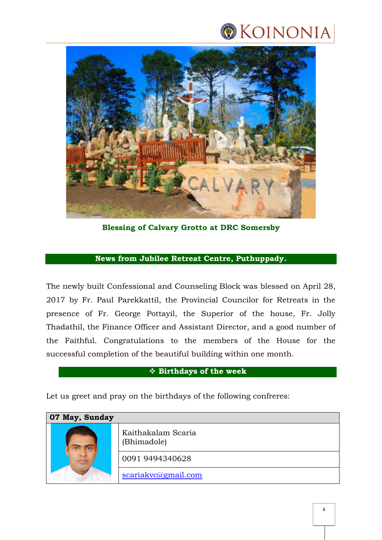



**Blessing of Calvary Grotto at DRC Somersby**

## **News from Jubilee Retreat Centre, Puthuppady.**

The newly built Confessional and Counseling Block was blessed on April 28, 2017 by Fr. Paul Parekkattil, the Provincial Councilor for Retreats in the presence of Fr. George Pottayil, the Superior of the house, Fr. Jolly Thadathil, the Finance Officer and Assistant Director, and a good number of the Faithful. Congratulations to the members of the House for the successful completion of the beautiful building within one month.

#### **Birthdays of the week**

Let us greet and pray on the birthdays of the following confreres:

| 07 May, Sunday |                                   |
|----------------|-----------------------------------|
|                | Kaithakalam Scaria<br>(Bhimadole) |
|                | 0091 9494340628                   |
|                | scariakvc@gmail.com               |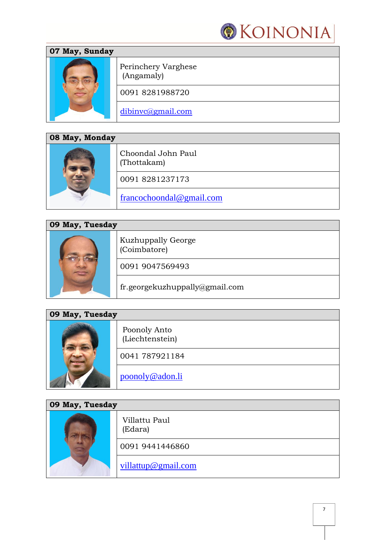

| 07 May, Sunday |                                   |
|----------------|-----------------------------------|
|                | Perinchery Varghese<br>(Angamaly) |
|                | 00918281988720                    |
|                | dibinvc@gmail.com                 |

| 08 May, Monday |                                   |
|----------------|-----------------------------------|
|                | Choondal John Paul<br>(Thottakam) |
|                | 00918281237173                    |
|                | francochoondal@gmail.com          |

| 09 May, Tuesday |                                           |
|-----------------|-------------------------------------------|
|                 | <b>Kuzhuppally George</b><br>(Coimbatore) |
|                 | 0091 9047569493                           |
|                 | fr.georgekuzhuppally@gmail.com            |

| 09 May, Tuesday |                                 |
|-----------------|---------------------------------|
|                 | Poonoly Anto<br>(Liechtenstein) |
|                 | 0041 787921184                  |
|                 | poonoly@adon.li                 |

| 09 May, Tuesday |                          |
|-----------------|--------------------------|
|                 | Villattu Paul<br>(Edara) |
|                 | 0091 9441446860          |
|                 | villattup@gmail.com      |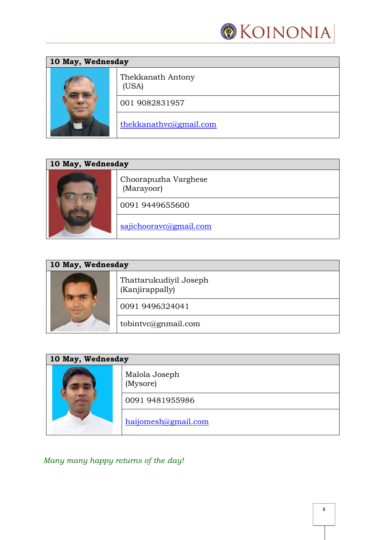

| 10 May, Wednesday |                            |
|-------------------|----------------------------|
|                   | Thekkanath Antony<br>(USA) |
|                   | 001 9082831957             |
|                   | thekkanathvc@gmail.com     |

| 10 May, Wednesday |                                    |
|-------------------|------------------------------------|
|                   | Choorapuzha Varghese<br>(Marayoor) |
|                   | 0091 9449655600                    |
|                   | sajichooravc@gmail.com             |

| 10 May, Wednesday |                                           |
|-------------------|-------------------------------------------|
|                   | Thattarukudiyil Joseph<br>(Kanjirappally) |
|                   | 0091 9496324041                           |
|                   | tobintvc@gnmail.com                       |

| 10 May, Wednesday |                           |
|-------------------|---------------------------|
|                   | Malola Joseph<br>(Mysore) |
|                   | 0091 9481955986           |
|                   | haijomesh@gmail.com       |

*Many many happy returns of the day!*